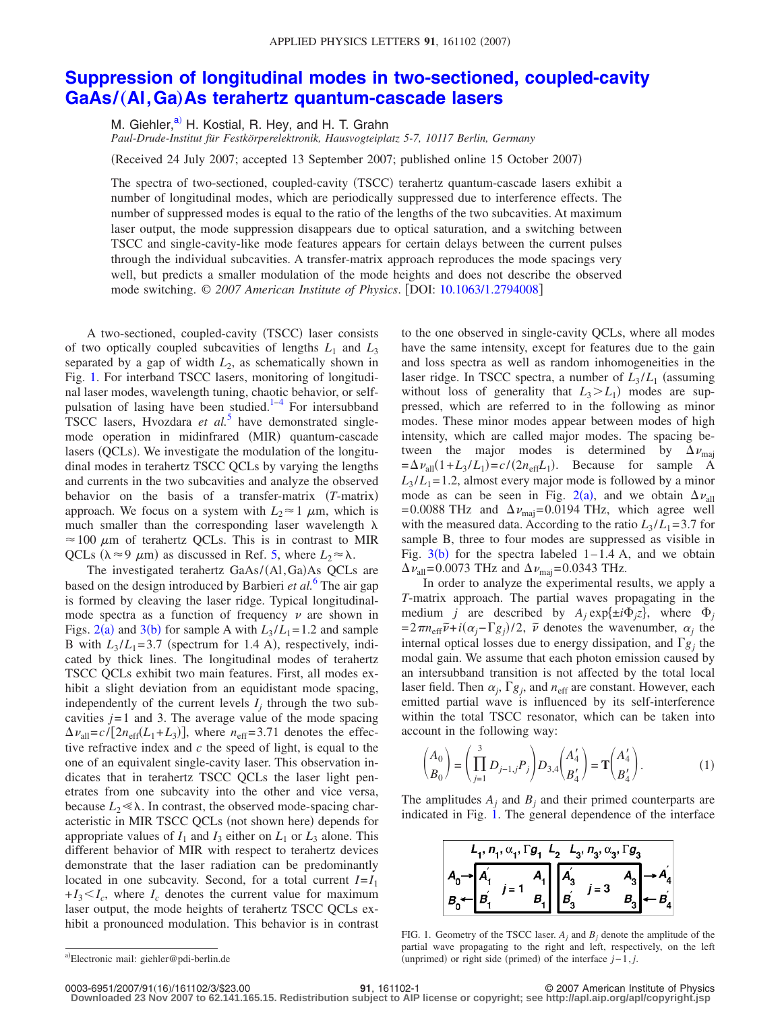## **[Suppression of longitudinal modes in two-sectioned, coupled-cavity](http://dx.doi.org/10.1063/1.2794008) GaAs/**"**Al,Ga**…**[As terahertz quantum-cascade lasers](http://dx.doi.org/10.1063/1.2794008)**

M. Giehler,<sup>a)</sup> H. Kostial, R. Hey, and H. T. Grahn *Paul-Drude-Institut für Festkörperelektronik, Hausvogteiplatz 5-7, 10117 Berlin, Germany*

Received 24 July 2007; accepted 13 September 2007; published online 15 October 2007-

The spectra of two-sectioned, coupled-cavity (TSCC) terahertz quantum-cascade lasers exhibit a number of longitudinal modes, which are periodically suppressed due to interference effects. The number of suppressed modes is equal to the ratio of the lengths of the two subcavities. At maximum laser output, the mode suppression disappears due to optical saturation, and a switching between TSCC and single-cavity-like mode features appears for certain delays between the current pulses through the individual subcavities. A transfer-matrix approach reproduces the mode spacings very well, but predicts a smaller modulation of the mode heights and does not describe the observed mode switching. © *2007 American Institute of Physics*. DOI: [10.1063/1.2794008](http://dx.doi.org/10.1063/1.2794008)

A two-sectioned, coupled-cavity (TSCC) laser consists of two optically coupled subcavities of lengths  $L_1$  and  $L_3$ separated by a gap of width  $L_2$ , as schematically shown in Fig. [1.](#page-0-1) For interband TSCC lasers, monitoring of longitudinal laser modes, wavelength tuning, chaotic behavior, or self-pulsation of lasing have been studied.<sup>1-[4](#page-2-1)</sup> For intersubband TSCC lasers, Hvozdara *et al.*<sup>[5](#page-2-2)</sup> have demonstrated singlemode operation in midinfrared (MIR) quantum-cascade lasers (QCLs). We investigate the modulation of the longitudinal modes in terahertz TSCC QCLs by varying the lengths and currents in the two subcavities and analyze the observed behavior on the basis of a transfer-matrix *T*-matrix approach. We focus on a system with  $L_2 \approx 1 \mu m$ , which is much smaller than the corresponding laser wavelength  $\lambda$  $\approx$  100  $\mu$ m of terahertz QCLs. This is in contrast to MIR QCLs ( $\lambda \approx 9 \mu$ m) as discussed in Ref. [5,](#page-2-2) where  $L_2 \approx \lambda$ .

The investigated terahertz GaAs/(Al, Ga)As QCLs are based on the design introduced by Barbieri *et al.*[6](#page-2-3) The air gap is formed by cleaving the laser ridge. Typical longitudinalmode spectra as a function of frequency  $\nu$  are shown in Figs. [2](#page-1-0)(a) and [3](#page-1-1)(b) for sample A with  $L_3 / L_1 = 1.2$  and sample B with  $L_3/L_1 = 3.7$  (spectrum for 1.4 A), respectively, indicated by thick lines. The longitudinal modes of terahertz TSCC QCLs exhibit two main features. First, all modes exhibit a slight deviation from an equidistant mode spacing, independently of the current levels  $I_i$  through the two subcavities  $j=1$  and 3. The average value of the mode spacing  $\Delta v_{\text{all}} = c / [2n_{\text{eff}}(L_1 + L_3)]$ , where  $n_{\text{eff}} = 3.71$  denotes the effective refractive index and *c* the speed of light, is equal to the one of an equivalent single-cavity laser. This observation indicates that in terahertz TSCC QCLs the laser light penetrates from one subcavity into the other and vice versa, because  $L_2 \ll \lambda$ . In contrast, the observed mode-spacing characteristic in MIR TSCC QCLs (not shown here) depends for appropriate values of  $I_1$  and  $I_3$  either on  $L_1$  or  $L_3$  alone. This different behavior of MIR with respect to terahertz devices demonstrate that the laser radiation can be predominantly located in one subcavity. Second, for a total current  $I = I_1$  $+I_3 \leq I_c$ , where  $I_c$  denotes the current value for maximum laser output, the mode heights of terahertz TSCC QCLs exhibit a pronounced modulation. This behavior is in contrast to the one observed in single-cavity QCLs, where all modes have the same intensity, except for features due to the gain and loss spectra as well as random inhomogeneities in the laser ridge. In TSCC spectra, a number of  $L_3/L_1$  (assuming without loss of generality that  $L_3 > L_1$ ) modes are suppressed, which are referred to in the following as minor modes. These minor modes appear between modes of high intensity, which are called major modes. The spacing between the major modes is determined by  $\Delta v_{\text{maj}}$  $=\Delta v_{\text{all}}(1 + L_3/L_1) = c/(2n_{\text{eff}}L_1)$ . Because for sample A  $L_3/L_1 = 1.2$ , almost every major mode is followed by a minor mode as can be seen in Fig. [2](#page-1-0)(a), and we obtain  $\Delta v_{all}$ =0.0088 THz and  $\Delta v_{\text{maj}}$ =0.0194 THz, which agree well with the measured data. According to the ratio  $L_3/L_1 = 3.7$  for sample B, three to four modes are suppressed as visible in Fig.  $3(b)$  $3(b)$  for the spectra labeled 1–1.4 A, and we obtain  $\Delta v_{\text{all}}$ =0.0073 THz and  $\Delta v_{\text{maj}}$ =0.0343 THz.

In order to analyze the experimental results, we apply a *T*-matrix approach. The partial waves propagating in the medium *j* are described by  $A_j \exp{\{\pm i\Phi_j z\}}$ , where  $\Phi_j$  $=2\pi n_{\text{eff}}\tilde{\nu}+i(\alpha_j-\Gamma g_j)/2$ ,  $\tilde{\nu}$  denotes the wavenumber,  $\alpha_j$  the internal optical losses due to energy dissipation, and  $\Gamma g_i$  the modal gain. We assume that each photon emission caused by an intersubband transition is not affected by the total local laser field. Then  $\alpha_j$ ,  $\Gamma g_j$ , and  $n_{\text{eff}}$  are constant. However, each emitted partial wave is influenced by its self-interference within the total TSCC resonator, which can be taken into account in the following way:

<span id="page-0-2"></span>
$$
\binom{A_0}{B_0} = \left(\prod_{j=1}^3 D_{j-1,j} P_j\right) D_{3,4} \binom{A'_4}{B'_4} = \mathbf{T} \binom{A'_4}{B'_4}.
$$
 (1)

<span id="page-0-1"></span>The amplitudes  $A_i$  and  $B_j$  and their primed counterparts are indicated in Fig.  $\hat{1}$ . The general dependence of the interface



FIG. 1. Geometry of the TSCC laser.  $A_j$  and  $B_j$  denote the amplitude of the partial wave propagating to the right and left, respectively, on the left (unprimed) or right side (primed) of the interface *j*−1, *j*.

0003-6951/2007/91(16)/161102/3/\$23.00

16/161102/3/\$23.00 © 2007 American Institute of Physics **91**, 161102-1 **Downloaded 23 Nov 2007 to 62.141.165.15. Redistribution subject to AIP license or copyright; see http://apl.aip.org/apl/copyright.jsp**

<span id="page-0-0"></span>a)Electronic mail: giehler@pdi-berlin.de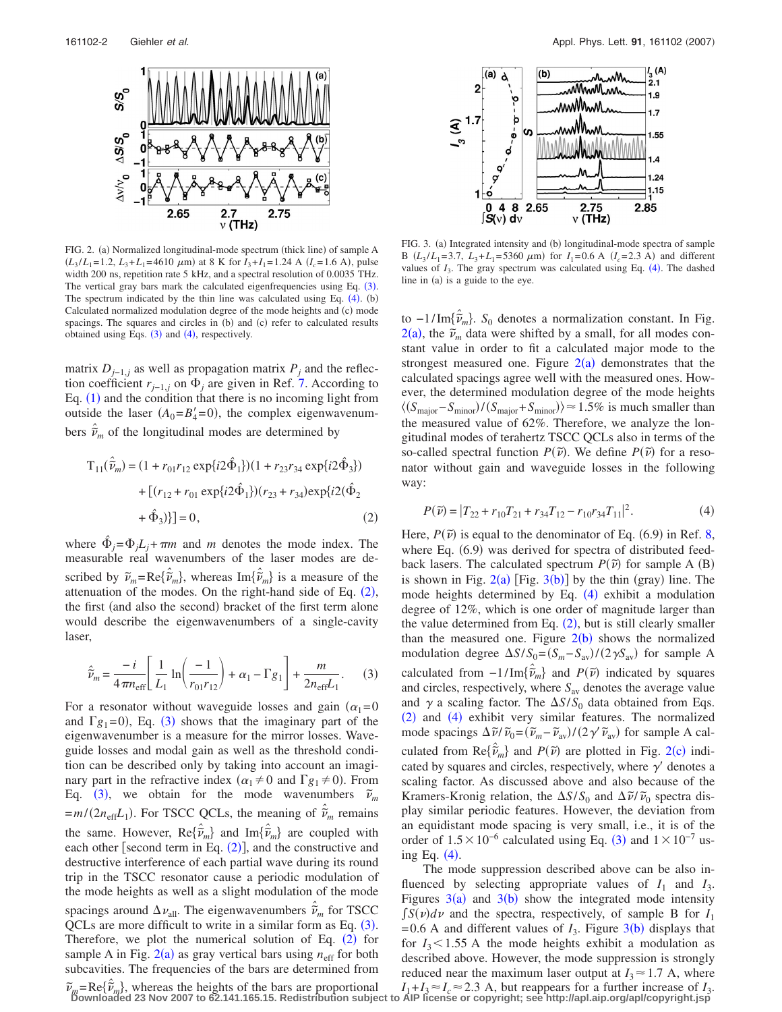<span id="page-1-0"></span>

FIG. 2. (a) Normalized longitudinal-mode spectrum (thick line) of sample A  $(L_3/L_1=1.2, L_3+L_1=4610 \mu m)$  at 8 K for  $I_3+I_1=1.24$  A  $(I_c=1.6$  A), pulse width 200 ns, repetition rate 5 kHz, and a spectral resolution of 0.0035 THz. The vertical gray bars mark the calculated eigenfrequencies using Eq.  $(3)$  $(3)$  $(3)$ . The spectrum indicated by the thin line was calculated using Eq.  $(4)$  $(4)$  $(4)$ .  $(b)$ Calculated normalized modulation degree of the mode heights and (c) mode spacings. The squares and circles in (b) and (c) refer to calculated results obtained using Eqs.  $(3)$  $(3)$  $(3)$  and  $(4)$  $(4)$  $(4)$ , respectively.

matrix  $D_{j-1,j}$  as well as propagation matrix  $P_j$  and the reflection coefficient  $r_{j-1,j}$  on  $\Phi_j$  are given in Ref. [7.](#page-2-4) According to Eq.  $(1)$  $(1)$  $(1)$  and the condition that there is no incoming light from outside the laser  $(A_0 = B_4' = 0)$ , the complex eigenwavenumbers  $\hat{\tilde{\nu}}_m$  of the longitudinal modes are determined by

<span id="page-1-2"></span>
$$
T_{11}(\hat{\vec{v}}_m) = (1 + r_{01}r_{12} \exp\{i2\hat{\Phi}_1\}) (1 + r_{23}r_{34} \exp\{i2\hat{\Phi}_3\})
$$

$$
+ [(r_{12} + r_{01} \exp\{i2\hat{\Phi}_1\}) (r_{23} + r_{34}) \exp\{i2(\hat{\Phi}_2
$$

$$
+ \hat{\Phi}_3)\}] = 0, \tag{2}
$$

where  $\Phi_i = \Phi_i L_i + \pi m$  and *m* denotes the mode index. The measurable real wavenumbers of the laser modes are described by  $\tilde{\nu}_m = \text{Re}\{\hat{\tilde{\nu}}_m\}$ , whereas  $\text{Im}\{\hat{\tilde{\nu}}_m\}$  is a measure of the attenuation of the modes. On the right-hand side of Eq.  $(2)$  $(2)$  $(2)$ , the first (and also the second) bracket of the first term alone would describe the eigenwavenumbers of a single-cavity laser,

<span id="page-1-3"></span>
$$
\hat{\tilde{\nu}}_{m} = \frac{-i}{4\pi n_{\text{eff}}} \left[ \frac{1}{L_{1}} \ln \left( \frac{-1}{r_{01} r_{12}} \right) + \alpha_{1} - \Gamma g_{1} \right] + \frac{m}{2 n_{\text{eff}} L_{1}}.
$$
 (3)

For a resonator without waveguide losses and gain  $(\alpha_1=0)$ and  $\Gamma g_1 = 0$ ), Eq. ([3](#page-1-3)) shows that the imaginary part of the eigenwavenumber is a measure for the mirror losses. Waveguide losses and modal gain as well as the threshold condition can be described only by taking into account an imaginary part in the refractive index ( $\alpha_1 \neq 0$  and  $\Gamma g_1 \neq 0$ ). From Eq. ([3](#page-1-3)), we obtain for the mode wavenumbers  $\tilde{v}_m$  $=m/(2n_{\text{eff}}L_1)$ . For TSCC QCLs, the meaning of  $\hat{\tilde{\nu}}_m$  remains the same. However,  $\text{Re}\{\hat{\tilde{\nu}}_m\}$  and  $\text{Im}\{\hat{\tilde{\nu}}_m\}$  are coupled with each other [second term in Eq.  $(2)$  $(2)$  $(2)$ ], and the constructive and destructive interference of each partial wave during its round trip in the TSCC resonator cause a periodic modulation of the mode heights as well as a slight modulation of the mode spacings around  $\Delta \nu_{\text{all}}$ . The eigenwavenumbers  $\hat{\tilde{\nu}}_m$  for TSCC  $QCLs$  are more difficult to write in a similar form as Eq.  $(3)$  $(3)$  $(3)$ . Therefore, we plot the numerical solution of Eq.  $(2)$  $(2)$  $(2)$  for sample A in Fig.  $2(a)$  $2(a)$  as gray vertical bars using  $n_{\text{eff}}$  for both subcavities. The frequencies of the bars are determined from

<span id="page-1-1"></span>

FIG. 3. (a) Integrated intensity and (b) longitudinal-mode spectra of sample B  $(L_3/L_1=3.7, L_3+L_1=5360 \mu m)$  for  $I_1=0.6$  A  $(I_c=2.3$  A) and different values of  $I_3$ . The gray spectrum was calculated using Eq.  $(4)$  $(4)$  $(4)$ . The dashed line in (a) is a guide to the eye.

to −1/Im*˜ ˆ <sup>m</sup>*. *S*<sup>0</sup> denotes a normalization constant. In Fig.  $2(a)$  $2(a)$ , the  $\tilde{\nu}_m$  data were shifted by a small, for all modes constant value in order to fit a calculated major mode to the strongest measured one. Figure  $2(a)$  $2(a)$  demonstrates that the calculated spacings agree well with the measured ones. However, the determined modulation degree of the mode heights  $\langle (S_{\text{major}} - S_{\text{minor}}) / (S_{\text{major}} + S_{\text{minor}}) \rangle \approx 1.5\%$  is much smaller than the measured value of 62%. Therefore, we analyze the longitudinal modes of terahertz TSCC QCLs also in terms of the so-called spectral function  $P(\tilde{\nu})$ . We define  $P(\tilde{\nu})$  for a resonator without gain and waveguide losses in the following way:

<span id="page-1-4"></span>
$$
P(\tilde{\nu}) = |T_{22} + r_{10}T_{21} + r_{34}T_{12} - r_{10}r_{34}T_{11}|^2.
$$
 (4)

Here,  $P(\tilde{\nu})$  is equal to the denominator of Eq. (6.9) in Ref. [8,](#page-2-5) where Eq. (6.9) was derived for spectra of distributed feedback lasers. The calculated spectrum  $P(\tilde{v})$  for sample A (B) is shown in Fig.  $2(a)$  $2(a)$  [Fig.  $3(b)$  $3(b)$ ] by the thin (gray) line. The mode heights determined by Eq. ([4](#page-1-4)) exhibit a modulation degree of 12%, which is one order of magnitude larger than the value determined from Eq.  $(2)$  $(2)$  $(2)$ , but is still clearly smaller than the measured one. Figure  $2(b)$  $2(b)$  shows the normalized modulation degree  $\Delta S/S_0 = (S_m - S_{av})/(2\gamma S_{av})$  for sample A calculated from  $-1/\text{Im}\{\hat{\tilde{\nu}}_m\}$  and  $P(\tilde{\nu})$  indicated by squares and circles, respectively, where *S*av denotes the average value and  $\gamma$  a scaling factor. The  $\Delta S/S_0$  data obtained from Eqs. ([2](#page-1-2)) and ([4](#page-1-4)) exhibit very similar features. The normalized mode spacings  $\Delta \tilde{\nu}/\tilde{\nu}_0 = (\tilde{\nu}_m - \tilde{\nu}_{av})/(2\gamma' \tilde{\nu}_{av})$  for sample A calculated from  $\text{Re}\{\hat{\tilde{\nu}}_m\}$  and  $P(\tilde{\nu})$  are plotted in Fig. [2](#page-1-0)(c) indicated by squares and circles, respectively, where  $\gamma'$  denotes a scaling factor. As discussed above and also because of the Kramers-Kronig relation, the  $\Delta S/S_0$  and  $\Delta \tilde{\nu}/\tilde{\nu}_0$  spectra display similar periodic features. However, the deviation from an equidistant mode spacing is very small, i.e., it is of the order of  $1.5 \times 10^{-6}$  calculated using Eq. ([3](#page-1-3)) and  $1 \times 10^{-7}$  using Eq.  $(4)$  $(4)$  $(4)$ .

The mode suppression described above can be also influenced by selecting appropriate values of  $I_1$  and  $I_3$ . Figures  $3(a)$  $3(a)$  and  $3(b)$  show the integrated mode intensity  $\int S(v)dv$  and the spectra, respectively, of sample B for  $I_1$  $=0.6$  A and different values of  $I_3$  $I_3$ . Figure  $3(b)$  displays that for  $I_3$ <1.55 A the mode heights exhibit a modulation as described above. However, the mode suppression is strongly reduced near the maximum laser output at  $I_3 \approx 1.7$  A, where  $I_1 + I_3 \approx I_c \approx 2.3$  A, but reappears for a further increase of  $I_3$ .

 $\tilde{\nu}_m = \text{Re}\{\hat{\tilde{\nu}}_m\}$ , whereas the heights of the bars are proportional  $I_1 + I_3 \approx I_c \approx 2.3$  A, but reappears for a further increase of  $I_3$ .<br>Downloaded 23 Nov 2007 to 62.141.165.15. Redistribution subject to AIP li